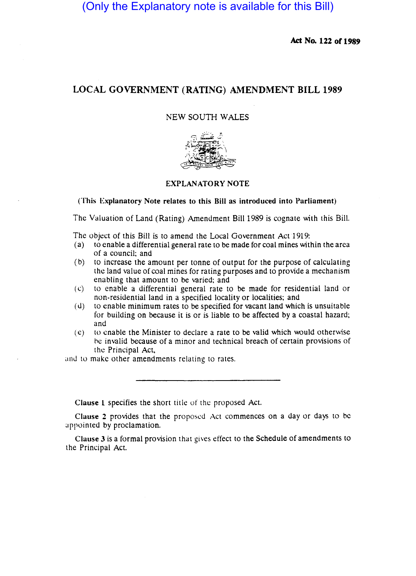(Only the Explanatory note is available for this Bill)

Act No. 122 of 1989

# LOCAL GOVERNMENT (RATING) AMENDMENT BILL 1989

NEW SOUTH WALES



# EXPLANATORY NOTE

(This Explanatory Note relates to this Bill as introduced into Parliament)

The Valuation of Land (Rating) Amendment Bill 1989 is cognate with this Bill.

The object of this Bill is to amend the Local Government Act 1919:

- (a) to enable a differential general rate to be made for coal mines within the area of a council; and
- (b) to increase the amount per tonne of output for the purpose of calculating the land value of coal mines for rating purposes and to provide a mechanism enabling that amount to be varied; and
- (c) to enable a differential general rate to be made for residential land or non-residential land in a specified locality or localities; and
- $(d)$  to enable minimum rates to be specified for vacant land which is unsuitable for building on because it is or is liable to be affected by a coastal hazard; and
- $(e)$  to enable the Minister to declare a rate to be valid which would otherwise be invalid because of a minor and technical breach of certain provisions of the Principal Act,

and to make other amendments relating to rates.

Clause 1 specifies the short title of the proposed Act.

Clause 2 provides that the proposed Act commences on a day or days to be appointed by proclamation.

Clause 3 is a formal provision that gives effect to the Schedule of amendments to the Principal Act.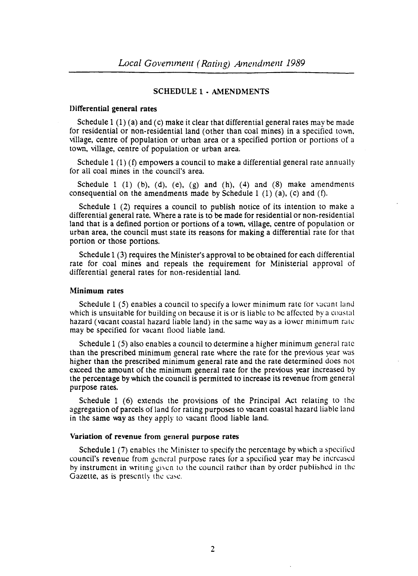# SCHEDULE 1 - AMENDMENTS

## Differential general rates

Schedule 1  $(1)$  (a) and  $(c)$  make it clear that differential general rates may be made for residential or non-residential land (other than coal mines) in a specified town, village, centre of population or urban area or a specified portion or portions of a town, village, centre of population or urban area.

Schedule 1 (1) (f) empowers a council to make a differential general rate annually for all coal mines in the council's area.

Schedule 1 (1) (b), (d), (e), (g) and (h), (4) and (8) make amendments consequential on the amendments made by Schedule 1 (1) (a), (c) and (f).

Schedule 1 (2) requires a council to publish notice of its intention to make a differential general rate. Where a rate is to be made for residential or non-residential land that is a defined portion or portions of a town, village, centre of population or urban area, the council must state its reasons for making a differential rate for that portion or those portions.

Schedule 1 (3) requires the Minister's approval to be obtained for each differential rate for coal mines and repeals the requirement for Ministerial approval of differential general rates for non-residential land.

## Minimum rates

Schedule 1 (5) enables a council to specify a lower minimum rate for vacant land which is unsuitable for building on because it is or is liable to be affected by a coastal hazard (vacant coastal hazard liable land) in the same way as a lower minimum rate may be specified for vacant flood liable land.

Schedule 1 (5) also enables a council to determine a higher minimum general rate than the prescribed minimum general rate where the rate for the previous year was higher than the prescribed minimum general rate and the rate determined does not exceed the amount of the minimum general rate for the previous year increased by the percentage by which the council is permitted to increase its revenue from general purpose rates.

Schedule 1 (6) extends the provisions of the Principal Act relating to the aggregation of parcels of land for rating purposes to vacant coastal hazard liable land in the same way as they apply to vacant flood liable land.

#### Variation of revenue from general purpose rates

Schedule 1 (7) enables the Minister to specify the percentage by which a specified council's revenue from general purpose rates for a specified year may be increased hy instrument in writing given to the council rather than by order published in the Gazette, as is presently the case.